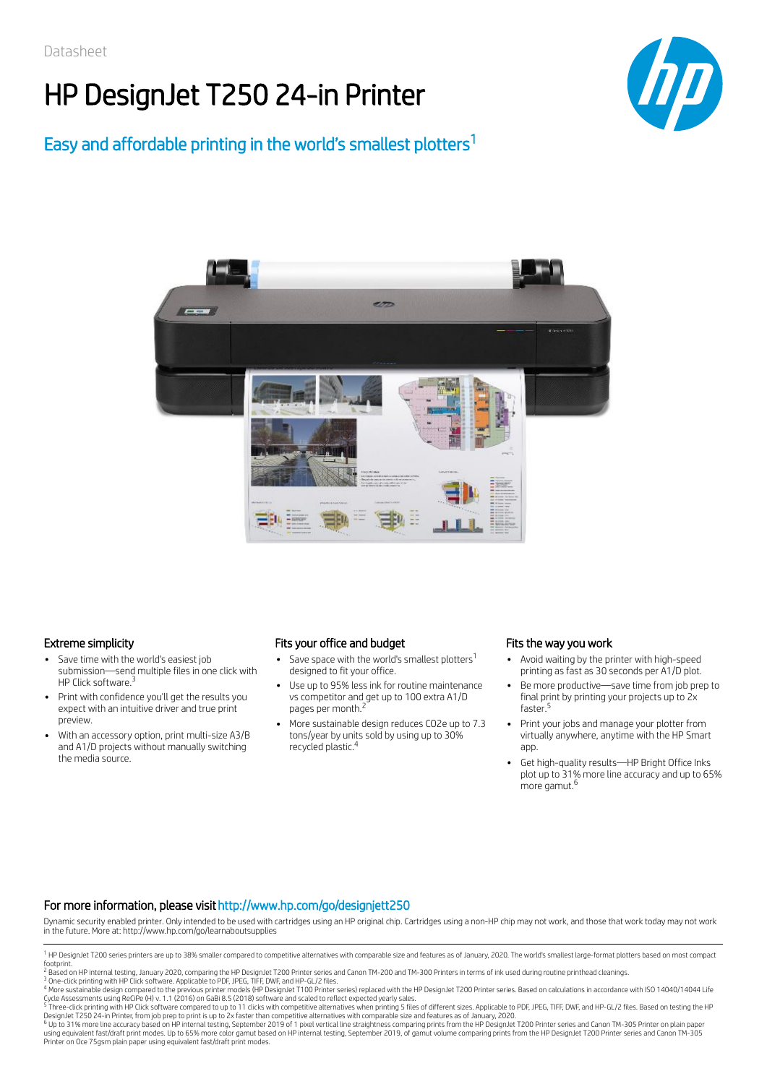# HP DesignJet T250 24-in Printer



### Easy and affordable printing in the world's smallest plotters 1



### Extreme simplicity

- Save time with the world's easiest job submission—send multiple files in one click with HP Click software.<sup>3</sup>
- Print with confidence you'll get the results you expect with an intuitive driver and true print preview.
- With an accessory option, print multi-size A3/B and A1/D projects without manually switching the media source.

### Fits your office and budget

- Save space with the world's smallest plotters $^1$ designed to fit your office.
- Use up to 95% less ink for routine maintenance vs competitor and get up to 100 extra A1/D pages per month.<sup>2</sup>
- More sustainable design reduces CO2e up to 7.3 tons/year by units sold by using up to 30% recycled plastic. 4

### Fits the way you work

- Avoid waiting by the printer with high-speed printing as fast as 30 seconds per A1/D plot.
- Be more productive—save time from job prep to final print by printing your projects up to 2x faster. 5
- Print your jobs and manage your plotter from virtually anywhere, anytime with the HP Smart app.
- Get high-quality results—HP Bright Office Inks plot up to 31% more line accuracy and up to 65% more gamut. 6

#### For more information, please visithttp://www.hp.com/go/designjett250

Dynamic security enabled printer. Only intended to be used with cartridges using an HP original chip. Cartridges using a non-HP chip may not work, and those that work today may not work in the future. More at: http://www.hp.com/go/learnaboutsupplies

Printer on Oce 75gsm plain paper using equivalent fast/draft print modes.

<sup>&</sup>lt;sup>1</sup> HP DesignJet T200 series printers are up to 38% smaller compared to competitive alternatives with comparable size and features as of January, 2020. The world's smallest large-format plotters based on most compact footprint.

<sup>&</sup>lt;sup>2</sup> Based on HP internal testing, January 2020, comparing the HP DesignJet T200 Printer series and Canon TM-200 and TM-300 Printers in terms of ink used during routine printhead cleanings.

<sup>&</sup>lt;sup>3</sup> One-click printing with HP Click software. Applicable to PDF, JPEG, TIFF, DWF, and HP-GL/2 files.<br><sup>4</sup> More sustainable design compared to the previous printer models (HP DesignJet T100 Printer series) replaced with the Cycle Assessments using ReCiPe (H) v. 1.1 (2016) on GaBi 8.5 (2018) software and scaled to reflect expected yearly sales.<br><sup>5</sup> Three-click printing with HP Click software compared to up to 11 clicks with competitive alterna

DesignJet T250 24-in Printer, from job prep to print is up to 2x faster than competitive alternatives with comparable size and features as of January, 2020.<br><sup>6</sup> Up to 31% more line accuracy based on HP internal testing ser